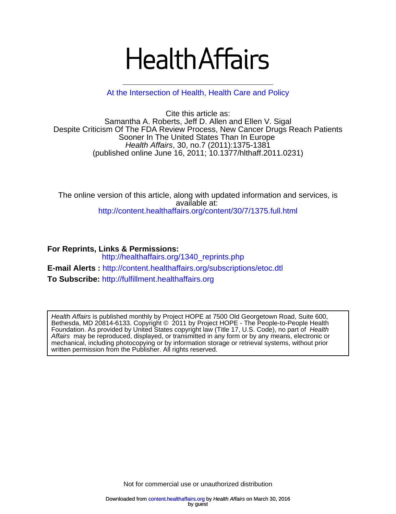# **Health Affairs**

#### [At the Intersection of Health, Health Care and Policy](http://www.healthaffairs.org)

(published online June 16, 2011; 10.1377/hlthaff.2011.0231) Health Affairs, 30, no.7 (2011):1375-1381 Sooner In The United States Than In Europe Despite Criticism Of The FDA Review Process, New Cancer Drugs Reach Patients Samantha A. Roberts, Jeff D. Allen and Ellen V. Sigal Cite this article as:

<http://content.healthaffairs.org/content/30/7/1375.full.html> available at: The online version of this article, along with updated information and services, is

**For Reprints, Links & Permissions:**  [http://healthaffairs.org/1340\\_reprints.php](http://healthaffairs.org/1340_reprints.php) **E-mail Alerts :** <http://content.healthaffairs.org/subscriptions/etoc.dtl> **To Subscribe:** <http://fulfillment.healthaffairs.org>

written permission from the Publisher. All rights reserved. mechanical, including photocopying or by information storage or retrieval systems, without prior Affairs may be reproduced, displayed, or transmitted in any form or by any means, electronic or Foundation. As provided by United States copyright law (Title 17, U.S. Code), no part of Health Bethesda, MD 20814-6133. Copyright © 2011 by Project HOPE - The People-to-People Health Health Affairs is published monthly by Project HOPE at 7500 Old Georgetown Road, Suite 600,

Not for commercial use or unauthorized distribution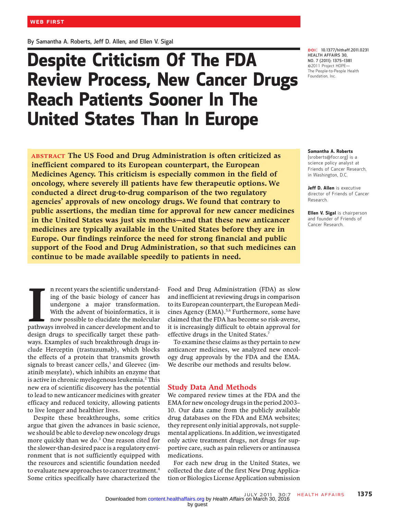By Samantha A. Roberts, Jeff D. Allen, and Ellen V. Sigal

## Despite Criticism Of The FDA Review Process, New Cancer Drugs Reach Patients Sooner In The United States Than In Europe

ABSTRACT The US Food and Drug Administration is often criticized as inefficient compared to its European counterpart, the European Medicines Agency. This criticism is especially common in the field of oncology, where severely ill patients have few therapeutic options. We conducted a direct drug-to-drug comparison of the two regulatory agencies' approvals of new oncology drugs. We found that contrary to public assertions, the median time for approval for new cancer medicines in the United States was just six months—and that these new anticancer medicines are typically available in the United States before they are in Europe. Our findings reinforce the need for strong financial and public support of the Food and Drug Administration, so that such medicines can continue to be made available speedily to patients in need.

In recent years the scientific understanding of the basic biology of cancer has undergone a major transformation.<br>With the advent of bioinformatics, it is now possible to elucidate the molecular pathways involved in cancer n recent years the scientific understanding of the basic biology of cancer has undergone a major transformation. With the advent of bioinformatics, it is now possible to elucidate the molecular design drugs to specifically target these pathways. Examples of such breakthrough drugs include Herceptin (trastuzumab), which blocks the effects of a protein that transmits growth signals to breast cancer cells, $<sup>1</sup>$  and Gleevec (im-</sup> atinib mesylate), which inhibits an enzyme that is active in chronic myelogenous leukemia.<sup>2</sup> This new era of scientific discovery has the potential to lead to new anticancer medicines with greater efficacy and reduced toxicity, allowing patients to live longer and healthier lives.

Despite these breakthroughs, some critics argue that given the advances in basic science, we should be able to develop new oncology drugs more quickly than we do.<sup>3</sup> One reason cited for the slower-than-desired pace is a regulatory environment that is not sufficiently equipped with the resources and scientific foundation needed to evaluate new approaches to cancer treatment.<sup>4</sup> Some critics specifically have characterized the

Food and Drug Administration (FDA) as slow and inefficient at reviewing drugs in comparison to its European counterpart, the European Medicines Agency (EMA).<sup>5,6</sup> Furthermore, some have claimed that the FDA has become so risk-averse, it is increasingly difficult to obtain approval for effective drugs in the United States.<sup>7</sup>

To examine these claims as they pertain to new anticancer medicines, we analyzed new oncology drug approvals by the FDA and the EMA. We describe our methods and results below.

#### Study Data And Methods

We compared review times at the FDA and the EMA for new oncology drugs in the period 2003– 10. Our data came from the publicly available drug databases on the FDA and EMA websites; they represent only initial approvals, not supplemental applications. In addition, we investigated only active treatment drugs, not drugs for supportive care, such as pain relievers or antinausea medications.

For each new drug in the United States, we collected the date of the first New Drug Application or Biologics License Application submission DOI: 10.1377/hlthaff.2011.0231 HEALTH AFFAIRS 30, NO. 7 (2011): 1375*–*<sup>1381</sup> ©2011 Project HOPE— The People-to-People Health Foundation, Inc.

#### Samantha A. Roberts (sroberts@focr.org) is a

science policy analyst at Friends of Cancer Research, in Washington, D.C.

Jeff D. Allen is executive director of Friends of Cancer Research.

Ellen V. Sigal is chairperson and founder of Friends of Cancer Research.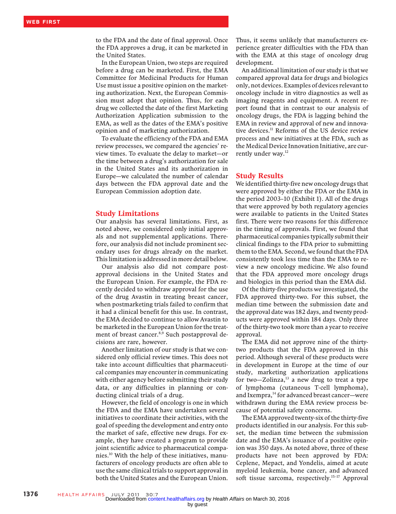to the FDA and the date of final approval. Once the FDA approves a drug, it can be marketed in the United States.

In the European Union, two steps are required before a drug can be marketed. First, the EMA Committee for Medicinal Products for Human Use must issue a positive opinion on the marketing authorization. Next, the European Commission must adopt that opinion. Thus, for each drug we collected the date of the first Marketing Authorization Application submission to the EMA, as well as the dates of the EMA's positive opinion and of marketing authorization.

To evaluate the efficiency of the FDA and EMA review processes, we compared the agencies' review times. To evaluate the delay to market—or the time between a drug's authorization for sale in the United States and its authorization in Europe—we calculated the number of calendar days between the FDA approval date and the European Commission adoption date.

#### Study Limitations

Our analysis has several limitations. First, as noted above, we considered only initial approvals and not supplemental applications. Therefore, our analysis did not include prominent secondary uses for drugs already on the market. This limitation is addressed in more detail below.

Our analysis also did not compare postapproval decisions in the United States and the European Union. For example, the FDA recently decided to withdraw approval for the use of the drug Avastin in treating breast cancer, when postmarketing trials failed to confirm that it had a clinical benefit for this use. In contrast, the EMA decided to continue to allow Avastin to be marketed in the European Union for the treatment of breast cancer.<sup>8,9</sup> Such postapproval decisions are rare, however.

Another limitation of our study is that we considered only official review times. This does not take into account difficulties that pharmaceutical companies may encounter in communicating with either agency before submitting their study data, or any difficulties in planning or conducting clinical trials of a drug.

However, the field of oncology is one in which the FDA and the EMA have undertaken several initiatives to coordinate their activities, with the goal of speeding the development and entry onto the market of safe, effective new drugs. For example, they have created a program to provide joint scientific advice to pharmaceutical companies.10 With the help of these initiatives, manufacturers of oncology products are often able to use the same clinical trials to support approval in both the United States and the European Union.

Thus, it seems unlikely that manufacturers experience greater difficulties with the FDA than with the EMA at this stage of oncology drug development.

An additional limitation of our study is that we compared approval data for drugs and biologics only, not devices. Examples of devices relevant to oncology include in vitro diagnostics as well as imaging reagents and equipment. A recent report found that in contrast to our analysis of oncology drugs, the FDA is lagging behind the EMA in review and approval of new and innovative devices.<sup>11</sup> Reforms of the US device review process and new initiatives at the FDA, such as the Medical Device Innovation Initiative, are currently under way. $12$ 

#### Study Results

We identified thirty-five new oncology drugs that were approved by either the FDA or the EMA in the period 2003–10 (Exhibit 1). All of the drugs that were approved by both regulatory agencies were available to patients in the United States first. There were two reasons for this difference in the timing of approvals. First, we found that pharmaceutical companies typically submit their clinical findings to the FDA prior to submitting them to the EMA. Second, we found that the FDA consistently took less time than the EMA to review a new oncology medicine. We also found that the FDA approved more oncology drugs and biologics in this period than the EMA did.

Of the thirty-five products we investigated, the FDA approved thirty-two. For this subset, the median time between the submission date and the approval date was 182 days, and twenty products were approved within 184 days. Only three of the thirty-two took more than a year to receive approval.

The EMA did not approve nine of the thirtytwo products that the FDA approved in this period. Although several of these products were in development in Europe at the time of our study, marketing authorization applications for two-Zolinza, $^{13}$  a new drug to treat a type of lymphoma (cutaneous T-cell lymphoma), and Ixempra,<sup>14</sup> for advanced breast cancer—were withdrawn during the EMA review process because of potential safety concerns.

The EMA approved twenty-six of the thirty-five products identified in our analysis. For this subset, the median time between the submission date and the EMA's issuance of a positive opinion was 350 days. As noted above, three of these products have not been approved by FDA: Ceplene, Mepact, and Yondelis, aimed at acute myeloid leukemia, bone cancer, and advanced soft tissue sarcoma, respectively.<sup>15-17</sup> Approval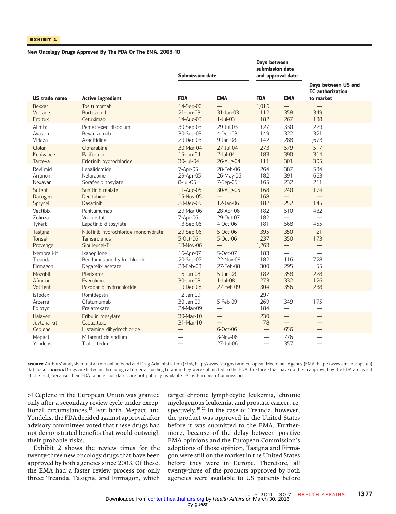#### New Oncology Drugs Approved By The FDA Or The EMA, 2003–<sup>10</sup>

|                                       |                                                                     | <b>Submission date</b>                 |                                                                  | Days between<br>submission date<br>and approval date |                                        |                                                             |
|---------------------------------------|---------------------------------------------------------------------|----------------------------------------|------------------------------------------------------------------|------------------------------------------------------|----------------------------------------|-------------------------------------------------------------|
| US trade name                         | <b>Active ingredient</b>                                            | <b>FDA</b>                             | <b>EMA</b>                                                       | <b>FDA</b>                                           | <b>EMA</b>                             | Days between US and<br><b>EC</b> authorization<br>to market |
| Bexxar<br>Velcade<br>Erbitux          | Tositumomab<br>Bortezomib<br>Cetuximab                              | 14-Sep-00<br>$21$ -Jan-03<br>14-Aug-03 | $31$ -Jan-03<br>$1$ -Jul-03                                      | 1,016<br>112<br>182                                  | 358<br>267                             | 349<br>138                                                  |
| Alimta                                | Pemetrexed disodium                                                 | 30-Sep-03                              | 29-Jul-03                                                        | 127                                                  | 330                                    | 229                                                         |
| Avastin                               | Bevacizumab                                                         | 30-Sep-03                              | 4-Dec-03                                                         | 149                                                  | 322                                    | 321                                                         |
| Vidaza                                | Azacitidine                                                         | 29-Dec-03                              | 9-Jan-08                                                         | 142                                                  | 288                                    | 1,673                                                       |
| Clolar                                | Clofarabine                                                         | 30-Mar-04                              | 27-Jul-04                                                        | 273                                                  | 579                                    | 517                                                         |
| Kepivance                             | Palifermin                                                          | 15-Jun-04                              | $2$ -Jul-04                                                      | 183                                                  | 390                                    | 314                                                         |
| Tarceva                               | Erlotinib hydrochloride                                             | 30-Jul-04                              | 26-Aug-04                                                        | 111                                                  | 301                                    | 305                                                         |
| Revlimid                              | Lenalidomide                                                        | 7-Apr-05                               | 28-Feb-06                                                        | 264                                                  | 387                                    | 534                                                         |
| Arranon                               | Nelarabine                                                          | 29-Apr-05                              | 26-May-06                                                        | 182                                                  | 391                                    | 663                                                         |
| Nexavar                               | Sorafenib tosylate                                                  | $8$ -Jul-05                            | 7-Sep-05                                                         | 165                                                  | 232                                    | 211                                                         |
| Sutent                                | Sunitinib malate                                                    | 11-Aug-05                              | 30-Aug-05                                                        | 168                                                  | 240                                    | 174                                                         |
| Dacogen                               | Decitabine                                                          | 15-Nov-05                              | $\qquad \qquad -$                                                | 168                                                  |                                        |                                                             |
| Sprycel                               | Dasatinib                                                           | 28-Dec-05                              | 12-Jan-06                                                        | 182                                                  | 252                                    | 145                                                         |
| Vectibix                              | Panitumumab                                                         | 29-Mar-06                              | 28-Apr-06                                                        | 182                                                  | 510                                    | 432                                                         |
| Zolinza                               | Vorinostat                                                          | 7-Apr-06                               | 29-Oct-07                                                        | 182                                                  |                                        | $\overbrace{\phantom{12322111}}$                            |
| Tykerb                                | Lapatinib ditosylate                                                | 13-Sep-06                              | 4-Oct-06                                                         | 181                                                  | 568                                    | 455                                                         |
| Tasigna<br><b>Torisel</b><br>Provenge | Nilotinib hydrochloride monohydrate<br>Temsirolimus<br>Sipuleucel-T | 29-Sep-06<br>$5-0ct-06$<br>13-Nov-06   | 5-Oct-06<br>5-Oct-06                                             | 395<br>237<br>1,263                                  | 350<br>350<br>$\overline{\phantom{0}}$ | 21<br>173                                                   |
| Ixempra kit                           | Ixabepilone                                                         | 16-Apr-07                              | 5-Oct-07                                                         | 183                                                  |                                        |                                                             |
| Treanda                               | Bendamustine hydrochloride                                          | 20-Sep-07                              | 22-Nov-09                                                        | 182                                                  | 116                                    | 728                                                         |
| Firmagon                              | Degarelix acetate                                                   | 28-Feb-08                              | 27-Feb-08                                                        | 300                                                  | 295                                    | 55                                                          |
| Mozobil                               | Plerixafor                                                          | 16-Jun-08                              | 5-Jun-08                                                         | 182                                                  | 358                                    | 228                                                         |
| Afinitor                              | Everolimus                                                          | 30-Jun-08                              | $1$ -Jul-08                                                      | 273                                                  | 332                                    | 126                                                         |
| Votrient                              | Pazopanib hydrochloride                                             | 19-Dec-08                              | 27-Feb-09                                                        | 304                                                  | 356                                    | 238                                                         |
| <b>Istodax</b><br>Arzerra<br>Folotyn  | Romidepsin<br>Ofatumumab<br>Pralatrexate                            | 12-Jan-09<br>30-Jan-09<br>24-Mar-09    | 5-Feb-09                                                         | 297<br>269<br>184                                    | 349<br>$\overbrace{\phantom{123321}}$  | 175<br>$\qquad \qquad$                                      |
| Halaven<br>Jevtana kit<br>Ceplene     | Eribulin mesylate<br>Cabazitaxel<br>Histamine dihydrochloride       | 30-Mar-10<br>31-Mar-10                 | $\overline{\phantom{m}}$<br>$\overline{\phantom{0}}$<br>6-Oct-06 | 230<br>78                                            | 656                                    |                                                             |
| Mepact                                | Mifamurtide sodium                                                  |                                        | 3-Nov-06                                                         |                                                      | 776                                    |                                                             |
| Yondelis                              | Trabectedin                                                         |                                        | 27-Jul-06                                                        | $\overline{\phantom{0}}$                             | 357                                    | $\overline{\phantom{0}}$                                    |

source Authors' analysis of data from online Food and Drug Administration (FDA, http://www.fda.gov) and European Medicines Agency (EMA, http://www.ema.europa.eu) databases. NoTES Drugs are listed in chronological order according to when they were submitted to the FDA. The three that have not been approved by the FDA are listed at the end, because their FDA submission dates are not publicly available. EC is European Commission.

of Ceplene in the European Union was granted only after a secondary review cycle under exceptional circumstances.18 For both Mepact and Yondelis, the FDA decided against approval after advisory committees voted that these drugs had not demonstrated benefits that would outweigh their probable risks.

Exhibit 2 shows the review times for the twenty-three new oncology drugs that have been approved by both agencies since 2003. Of these, the EMA had a faster review process for only three: Treanda, Tasigna, and Firmagon, which

target chronic lymphocytic leukemia, chronic myelogenous leukemia, and prostate cancer, respectively.<sup>19-21</sup> In the case of Treanda, however, the product was approved in the United States before it was submitted to the EMA. Furthermore, because of the delay between positive EMA opinions and the European Commission's adoptions of those opinion, Tasigna and Firmagon were still on the market in the United States before they were in Europe. Therefore, all twenty-three of the products approved by both agencies were available to US patients before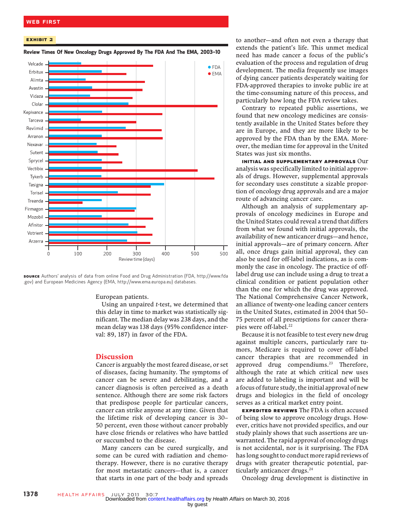#### WEB FIRST

#### Exhibit 2



Review Times Of New Oncology Drugs Approved By The FDA And The EMA, 2003–<sup>10</sup>

SOURCE Authors' analysis of data from online Food and Drug Administration (FDA, http://www.fda .gov) and European Medicines Agency (EMA, http://www.ema.europa.eu) databases.

#### European patients.

Using an unpaired t-test, we determined that this delay in time to market was statistically significant. The median delay was 238 days, and the mean delay was 138 days (95% confidence interval: 89, 187) in favor of the FDA.

#### Discussion

Cancer is arguably the most feared disease, or set of diseases, facing humanity. The symptoms of cancer can be severe and debilitating, and a cancer diagnosis is often perceived as a death sentence. Although there are some risk factors that predispose people for particular cancers, cancer can strike anyone at any time. Given that the lifetime risk of developing cancer is 30– 50 percent, even those without cancer probably have close friends or relatives who have battled or succumbed to the disease.

Many cancers can be cured surgically, and some can be cured with radiation and chemotherapy. However, there is no curative therapy for most metastatic cancers—that is, a cancer that starts in one part of the body and spreads

to another—and often not even a therapy that extends the patient's life. This unmet medical need has made cancer a focus of the public's evaluation of the process and regulation of drug development. The media frequently use images of dying cancer patients desperately waiting for FDA-approved therapies to invoke public ire at the time-consuming nature of this process, and particularly how long the FDA review takes.

Contrary to repeated public assertions, we found that new oncology medicines are consistently available in the United States before they are in Europe, and they are more likely to be approved by the FDA than by the EMA. Moreover, the median time for approval in the United States was just six months.

Initial And Supplementary Approvals Our analysis was specifically limited to initial approvals of drugs. However, supplemental approvals for secondary uses constitute a sizable proportion of oncology drug approvals and are a major route of advancing cancer care.

Although an analysis of supplementary approvals of oncology medicines in Europe and the United States could reveal a trend that differs from what we found with initial approvals, the availability of new anticancer drugs—and hence, initial approvals—are of primary concern. After all, once drugs gain initial approval, they can also be used for off-label indications, as is commonly the case in oncology. The practice of offlabel drug use can include using a drug to treat a clinical condition or patient population other than the one for which the drug was approved. The National Comprehensive Cancer Network, an alliance of twenty-one leading cancer centers in the United States, estimated in 2004 that 50– 75 percent of all prescriptions for cancer therapies were off-label.<sup>22</sup>

Because it is not feasible to test every new drug against multiple cancers, particularly rare tumors, Medicare is required to cover off-label cancer therapies that are recommended in approved drug compendiums.<sup>23</sup> Therefore, although the rate at which critical new uses are added to labeling is important and will be a focus of future study, the initial approval of new drugs and biologics in the field of oncology serves as a critical market entry point.

Expedited Reviews The FDA is often accused of being slow to approve oncology drugs. However, critics have not provided specifics, and our study plainly shows that such assertions are unwarranted. The rapid approval of oncology drugs is not accidental, nor is it surprising. The FDA has long sought to conduct more rapid reviews of drugs with greater therapeutic potential, particularly anticancer drugs.<sup>24</sup>

Oncology drug development is distinctive in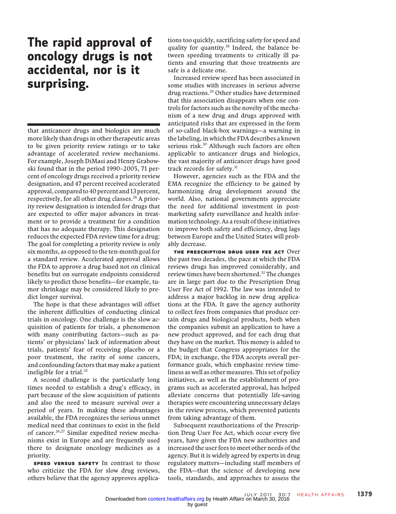### The rapid approval of oncology drugs is not accidental, nor is it surprising.

that anticancer drugs and biologics are much more likely than drugs in other therapeutic areas to be given priority review ratings or to take advantage of accelerated review mechanisms. For example, Joseph DiMasi and Henry Grabowski found that in the period 1990–2005, 71 percent of oncology drugs received a priority review designation, and 47 percent received accelerated approval, compared to 40 percent and 13 percent, respectively, for all other drug classes.<sup>26</sup> A priority review designation is intended for drugs that are expected to offer major advances in treatment or to provide a treatment for a condition that has no adequate therapy. This designation reduces the expected FDA review time for a drug: The goal for completing a priority review is only six months, as opposed to the ten-month goal for a standard review. Accelerated approval allows the FDA to approve a drug based not on clinical benefits but on surrogate endpoints considered likely to predict those benefits—for example, tumor shrinkage may be considered likely to predict longer survival.

The hope is that these advantages will offset the inherent difficulties of conducting clinical trials in oncology. One challenge is the slow acquisition of patients for trials, a phenomenon with many contributing factors—such as patients' or physicians' lack of information about trials, patients' fear of receiving placebo or a poor treatment, the rarity of some cancers, and confounding factors that may make a patient ineligible for a trial.<sup>25</sup>

A second challenge is the particularly long times needed to establish a drug's efficacy, in part because of the slow acquisition of patients and also the need to measure survival over a period of years. In making these advantages available, the FDA recognizes the serious unmet medical need that continues to exist in the field of cancer.<sup>26,27</sup> Similar expedited review mechanisms exist in Europe and are frequently used there to designate oncology medicines as a priority.

SPEED VERSUS SAFETY In contrast to those who criticize the FDA for slow drug reviews, others believe that the agency approves applications too quickly, sacrificing safety for speed and quality for quantity.28 Indeed, the balance between speeding treatments to critically ill patients and ensuring that those treatments are safe is a delicate one.

Increased review speed has been associated in some studies with increases in serious adverse drug reactions.29 Other studies have determined that this association disappears when one controls for factors such as the novelty of the mechanism of a new drug and drugs approved with anticipated risks that are expressed in the form of so-called black-box warnings—a warning in the labeling, in which the FDA describes a known serious risk.30 Although such factors are often applicable to anticancer drugs and biologics, the vast majority of anticancer drugs have good track records for safety.<sup>31</sup>

However, agencies such as the FDA and the EMA recognize the efficiency to be gained by harmonizing drug development around the world. Also, national governments appreciate the need for additional investment in postmarketing safety surveillance and health information technology. As a result of these initiatives to improve both safety and efficiency, drug lags between Europe and the United States will probably decrease.

The Prescription Drug User Fee Act Over the past two decades, the pace at which the FDA reviews drugs has improved considerably, and review times have been shortened.32 The changes are in large part due to the Prescription Drug User Fee Act of 1992. The law was intended to address a major backlog in new drug applications at the FDA. It gave the agency authority to collect fees from companies that produce certain drugs and biological products, both when the companies submit an application to have a new product approved, and for each drug that they have on the market. This money is added to the budget that Congress appropriates for the FDA; in exchange, the FDA accepts overall performance goals, which emphasize review timeliness as well as other measures. This set of policy initiatives, as well as the establishment of programs such as accelerated approval, has helped alleviate concerns that potentially life-saving therapies were encountering unnecessary delays in the review process, which prevented patients from taking advantage of them.

Subsequent reauthorizations of the Prescription Drug User Fee Act, which occur every five years, have given the FDA new authorities and increased the user fees to meet other needs of the agency. But it is widely agreed by experts in drug regulatory matters—including staff members of the FDA—that the science of developing new tools, standards, and approaches to assess the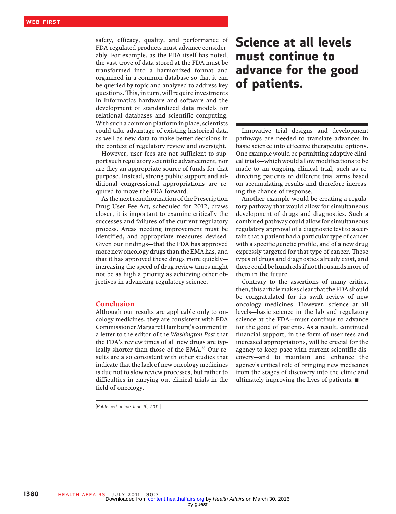safety, efficacy, quality, and performance of FDA-regulated products must advance considerably. For example, as the FDA itself has noted, the vast trove of data stored at the FDA must be transformed into a harmonized format and organized in a common database so that it can be queried by topic and analyzed to address key questions. This, in turn, will require investments in informatics hardware and software and the development of standardized data models for relational databases and scientific computing. With such a common platform in place, scientists could take advantage of existing historical data as well as new data to make better decisions in the context of regulatory review and oversight.

However, user fees are not sufficient to support such regulatory scientific advancement, nor are they an appropriate source of funds for that purpose. Instead, strong public support and additional congressional appropriations are required to move the FDA forward.

As the next reauthorization of the Prescription Drug User Fee Act, scheduled for 2012, draws closer, it is important to examine critically the successes and failures of the current regulatory process. Areas needing improvement must be identified, and appropriate measures devised. Given our findings—that the FDA has approved more new oncology drugs than the EMA has, and that it has approved these drugs more quickly increasing the speed of drug review times might not be as high a priority as achieving other objectives in advancing regulatory science.

#### Conclusion

Although our results are applicable only to oncology medicines, they are consistent with FDA Commissioner Margaret Hamburg's comment in a letter to the editor of the Washington Post that the FDA's review times of all new drugs are typically shorter than those of the EMA.<sup>33</sup> Our results are also consistent with other studies that indicate that the lack of new oncology medicines is due not to slow review processes, but rather to difficulties in carrying out clinical trials in the field of oncology.

Science at all levels must continue to advance for the good of patients.

Innovative trial designs and development pathways are needed to translate advances in basic science into effective therapeutic options. One example would be permitting adaptive clinical trials—which would allow modifications to be made to an ongoing clinical trial, such as redirecting patients to different trial arms based on accumulating results and therefore increasing the chance of response.

Another example would be creating a regulatory pathway that would allow for simultaneous development of drugs and diagnostics. Such a combined pathway could allow for simultaneous regulatory approval of a diagnostic test to ascertain that a patient had a particular type of cancer with a specific genetic profile, and of a new drug expressly targeted for that type of cancer. These types of drugs and diagnostics already exist, and there could be hundreds if not thousands more of them in the future.

Contrary to the assertions of many critics, then, this article makes clear that the FDA should be congratulated for its swift review of new oncology medicines. However, science at all levels—basic science in the lab and regulatory science at the FDA—must continue to advance for the good of patients. As a result, continued financial support, in the form of user fees and increased appropriations, will be crucial for the agency to keep pace with current scientific discovery—and to maintain and enhance the agency's critical role of bringing new medicines from the stages of discovery into the clinic and ultimately improving the lives of patients.  $\blacksquare$ 

[Published online June 16, 2011.]